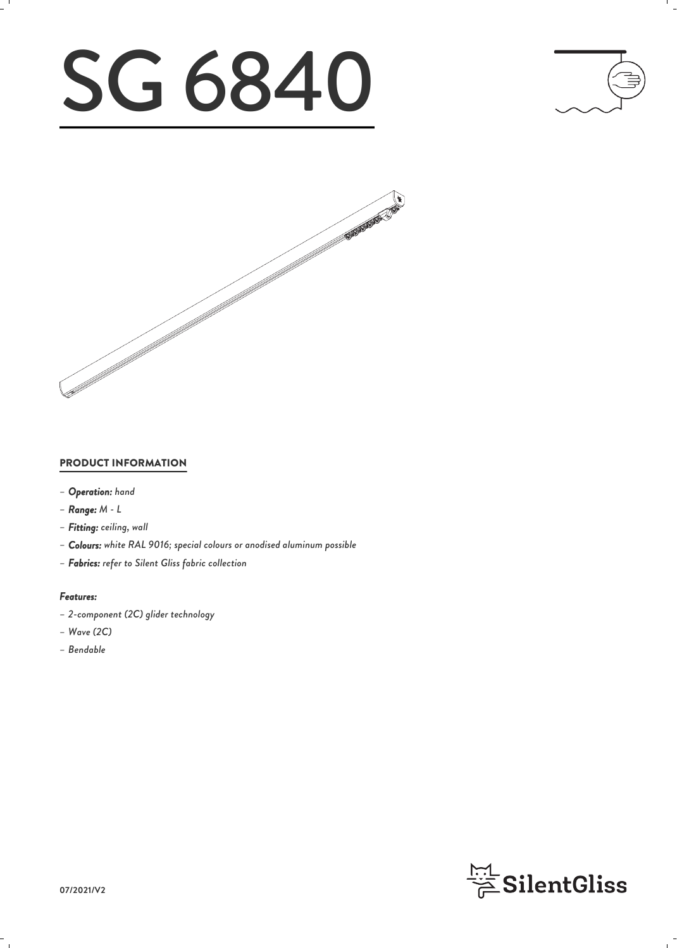# SG 6840





#### PRODUCT INFORMATION

- *– Operation: hand*
- *– Range: M L*
- *– Fitting: ceiling, wall*
- *– Colours: white RAL 9016; special colours or anodised aluminum possible*
- *– Fabrics: refer to Silent Gliss fabric collection*

#### *Features:*

- *– 2-component (2C) glider technology*
- *– Wave (2C)*
- *– Bendable*

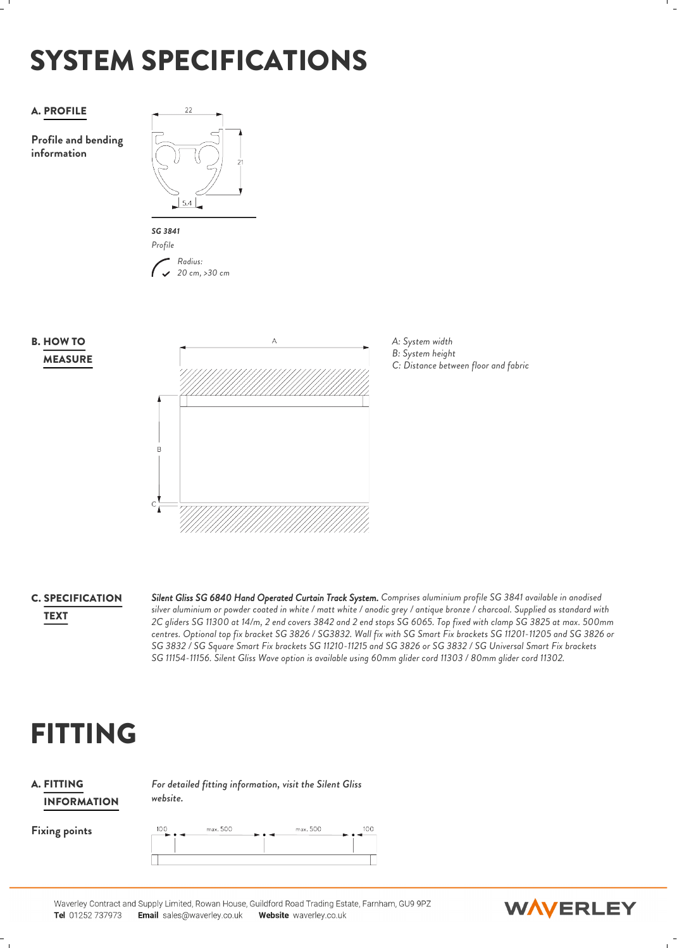# SYSTEM SPECIFICATIONS



**Profile and bending information**

**MEASURE** 









**C. SPECIFICATION** Silent Gliss S

*Silent Gliss SG 6840 Hand Operated Curtain Track System. Comprises aluminium profile SG 3841 available in anodised silver aluminium or powder coated in white / matt white / anodic grey / antique bronze / charcoal. Supplied as standard with 2C gliders SG 11300 at 14/m, 2 end covers 3842 and 2 end stops SG 6065. Top fixed with clamp SG 3825 at max. 500mm* TEXT *centres. Optional top fix bracket SG 3826 / SG3832. Wall fix with SG Smart Fix brackets SG 11201-11205 and SG 3826 or SG 3832 / SG Square Smart Fix brackets SG 11210-11215 and SG 3826 or SG 3832 / SG Universal Smart Fix brackets SG 11154-11156. Silent Gliss Wave option is available using 60mm glider cord 11303 / 80mm glider cord 11302.*

# FITTING

**A. FITTING**  $F_c$ INFORMATION

*For detailed fitting information, visit the Silent Gliss website.*

Fixing points 100 max.500  $max 500$  $100$ 

Waverley Contract and Supply Limited, Rowan House, Guildford Road Trading Estate, Farnham, GU9 9PZ Website waverley.co.uk Tel 01252 737973 Email sales@waverley.co.uk

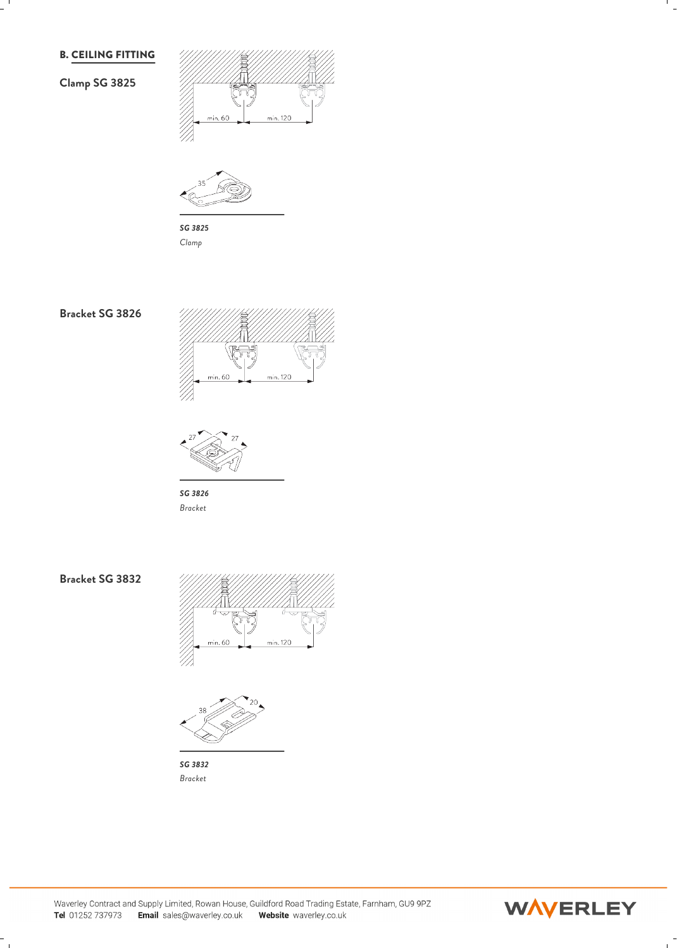#### B. CEILING FITTING

#### **Clamp SG 3825**





*SG 3825 Clamp*







*SG 3826 Bracket*

**Bracket SG 3832**





*SG 3832 Bracket*

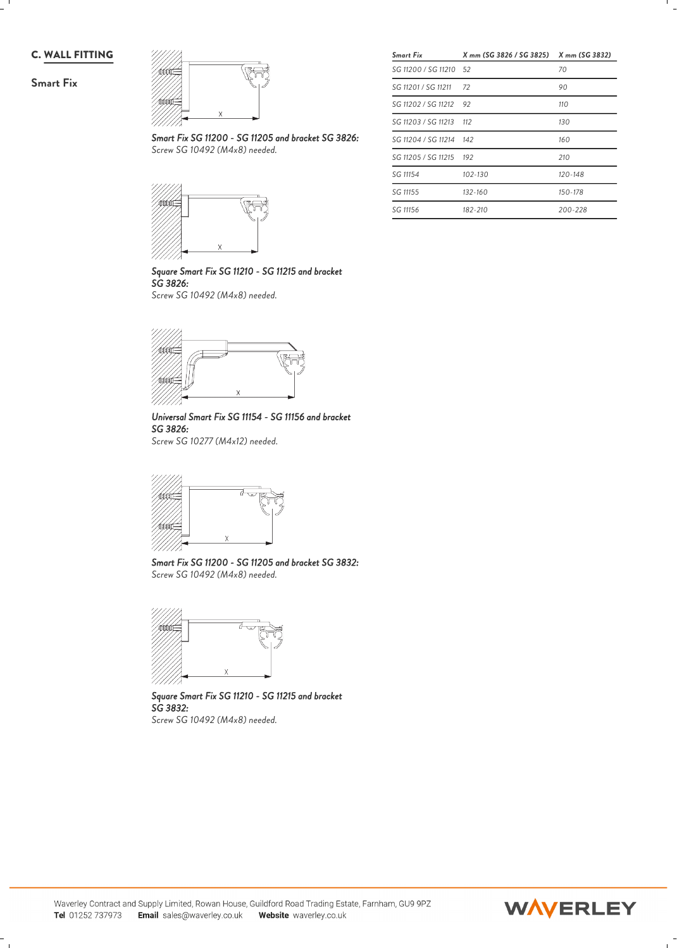C. WALL FITTING

**Smart Fix**



*Smart Fix SG 11200 - SG 11205 and bracket SG 3826: Screw SG 10492 (M4x8) needed.*



*Square Smart Fix SG 11210 - SG 11215 and bracket SG 3826: Screw SG 10492 (M4x8) needed.*



*Universal Smart Fix SG 11154 - SG 11156 and bracket SG 3826:*

*Screw SG 10277 (M4x12) needed.*



*Smart Fix SG 11200 - SG 11205 and bracket SG 3832: Screw SG 10492 (M4x8) needed.*



*Square Smart Fix SG 11210 - SG 11215 and bracket SG 3832: Screw SG 10492 (M4x8) needed.*

| <b>Smart Fix</b>    | X mm (SG 3826 / SG 3825) | X mm (SG 3832) |
|---------------------|--------------------------|----------------|
| SG 11200 / SG 11210 | 52                       |                |
|                     |                          | 70             |
| SG 11201 / SG 11211 | 72                       | 90             |
| SG 11202 / SG 11212 | 92                       | 110            |
| SG 11203 / SG 11213 | 112                      | 130            |
| SG 11204 / SG 11214 | 142                      | 160            |
| SG 11205 / SG 11215 | 192                      | 210            |
| SG 11154            | 102-130                  | 120-148        |
| SG 11155            | 132-160                  | 150-178        |

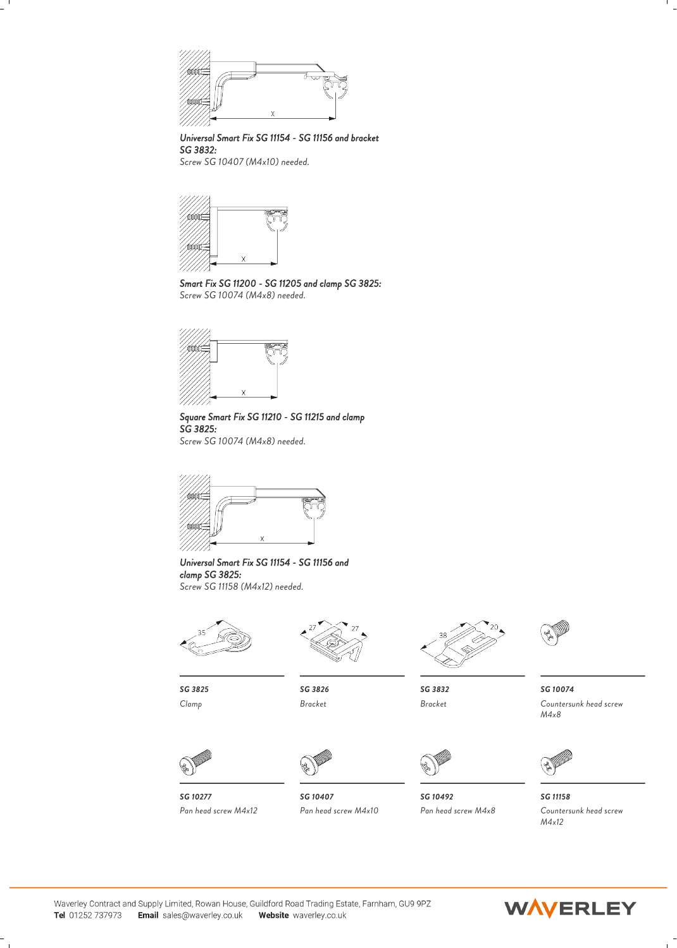

*Universal Smart Fix SG 11154 - SG 11156 and bracket SG 3832: Screw SG 10407 (M4x10) needed.*



*Smart Fix SG 11200 - SG 11205 and clamp SG 3825: Screw SG 10074 (M4x8) needed.*



*Square Smart Fix SG 11210 - SG 11215 and clamp SG 3825:*

*Screw SG 10074 (M4x8) needed.*



*Universal Smart Fix SG 11154 - SG 11156 and clamp SG 3825: Screw SG 11158 (M4x12) needed.*



*SG 3825*



*Clamp Bracket*



*SG 3826 Bracket*



*SG 10277 Pan head screw M4x12 Pan head screw M4x10*



*SG 10407 SG 10492*



*SG 3832 SG 10074 Countersunk head screw M4x8*



*Pan head screw M4x8 Countersunk head screw SG 11158 M4x12*

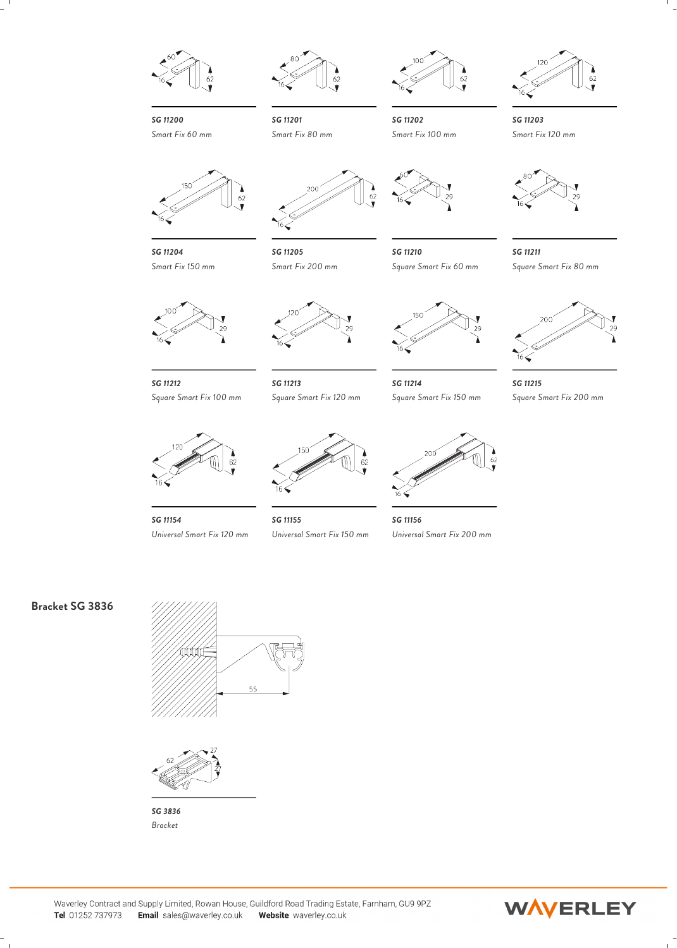

*SG 11200 SG 11201 Smart Fix 60 mm*





*SG 11202 SG 11203 Smart Fix 100 mm Smart Fix 120 mm*



*SG 11204*



*Smart Fix 150 mm*



*Smart Fix 80 mm*

*SG 11205* Square Smart Fix 60 mm



*SG 11210 SG 11211 Square Smart Fix 60 mm Square Smart Fix 80 mm*



*SG 11214 SG 11215*



*SG 11212*







*SG 11213 Square Smart Fix 120 mm Square Smart Fix 150 mm Square Smart Fix 200 mm*



*SG 11154*



*Universal Smart Fix 120 mm Universal Smart Fix 150 mm Universal Smart Fix 200 mm*



*SG 11155 SG 11156*

#### **Bracket SG 3836**







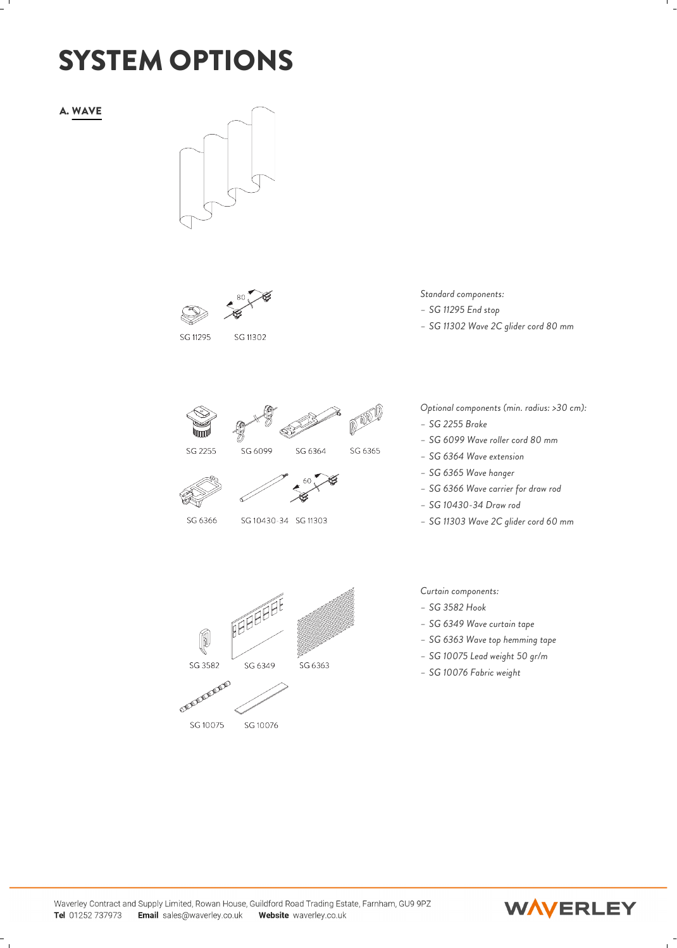## SYSTEM OPTIONS

A. WAVE



SG 11295 SG 11302

*Standard components:*

- 
- 





SG 2255



P. W. O.

SG 6365



SG 6366

SG 10075



SG 10430-34 SG 11303

*– SG 11295 End stop – SG 11302 Wave 2C glider cord 80 mm Optional components (min. radius: >30 cm):* Standard components:<br>- SG 11295 End stop<br>- SG 11302 Wave 2C glider cord 80 mm<br>- SG 2255 Brake<br>- SG 6099 Wave roller cord 80 mm<br>- SG 6364 Wave extension<br>- SG 6365 Wave hanger<br>- SG 6365 Wave hanger<br>- SG 6366 Wave carrier for Standard components:<br>- SG 11295 End stop<br>- SG 6099 Wave 2C glider cord 80 mm<br>- SG 6099 Wave roller cord 80 mm<br>- SG 6099 Wave roller cord 80 mm<br>- SG 6365 Wave extension<br>- SG 6365 Wave tanger<br>- SG 6366 Wave carrier for draw Standard components:<br>- SG 11295 End stop<br>- SG 11302 Wave 2C glider cord 80 mm<br>- SG 2255 Brake<br>- SG 6099 Wave roller cord 80 mm<br>- SG 6364 Wave extension<br>- SG 6365 Wave hanger<br>- SG 6365 Wave hanger<br>- SG 6366 Wave carrier for *Standard components:*<br> *– SG 11295 End stop*<br> *– SG 11302 Wave 2C glider cord 80 mm*<br> *– SG 2255 Brake*<br> *– SG 6099 Wave roller cord 80 mm*<br> *– SG 6364 Wave extension*<br> *– SG 6365 Wave hanger*<br> *– SG 6366 Wave carrier for Standard components:*<br> *– SG 11295 End stop*<br> *– SG 11302 Wave 2C glider cord 80 mm*<br> *– SG 2255 Brake*<br> *– SG 6099 Wave roller cord 80 mm*<br> *– SG 6364 Wave extension*<br> *– SG 6365 Wave hanger*<br> *– SG 6366 Wave carrier for* Standard components:<br> *– SG 11295 End stop*<br> *– SG 11302 Wave 2C glider cord 80 mm*<br> *– SG 2255 Brake*<br> *– SG 6099 Wave roller cord 80 mm*<br> *– SG 6364 Wave extension*<br> *– SG 6365 Wave hanger*<br> *– SG 6365 Wave hanger*<br> *– S* 3tandard components:<br>- SG 11295 End stop<br>- SG 11302 Wave 2C glider cord 80 mm<br>- SG 2255 Brake<br>- SG 6099 Wave roller cord 80 mm<br>- SG 6364 Wave extension<br>- SG 6365 Wave hanger<br>- SG 6366 Wave carrier for draw rod<br>- SG 11303 W Optional components (min. radius: >30 cm):<br>- SG 2255 Brake<br>- SG 6099 Wave roller cord 80 mm<br>- SG 6364 Wave extension<br>- SG 6365 Wave hanger<br>- SG 6366 Wave carrier for draw rod<br>- SG 10430-34 Draw rod<br>- SG 11303 Wave 2C glide Optional components (min. radius: >30 cm):<br>- SG 2255 Brake<br>- SG 6099 Wave roller cord 80 mm<br>- SG 6364 Wave extension<br>- SG 6365 Wave hanger<br>- SG 6366 Wave carrier for draw rod<br>- SG 10430-34 Draw rod<br>- SG 11303 Wave 2C glide

- 
- 
- 
- 
- 
- 
- *–* SG 2255 Brake<br>
 SG 6099 Wave roller cord 80 mm<br>
 SG 6364 Wave extension<br>
 SG 6365 Wave hanger<br>
 SG 6366 Wave carrier for draw rod<br>
 SG 10430-34 Draw rod<br>
 SG 11303 Wave 2C glider cord 60 mm<br>
 SG 11303 Wave 2C gl *–* SG 6099 Wave roller cord 80 mm<br>– SG 6364 Wave extension<br>– SG 6365 Wave hanger<br>– SG 6366 Wave carrier for draw rod<br>– SG 10430-34 Draw rod<br>– SG 11303 Wave 2C glider cord 60 mm<br>– SG 11303 Wave 2C glider cord 60 mm<br>– SG 35 *–* SG 6364 Wave extension<br>
– SG 6365 Wave extension<br>
– SG 6365 Wave earrier for draw rod<br>
– SG 10430-34 Draw rod<br>
– SG 11303 Wave 2C glider cord 60 mm<br>
– SG 11303 Wave 2C glider cord 60 mm<br>
– SG 13582 Hook<br>
– SG 6349 Wave



SG 10076

*Curtain components:*

- 
- 
- 
- 
- 

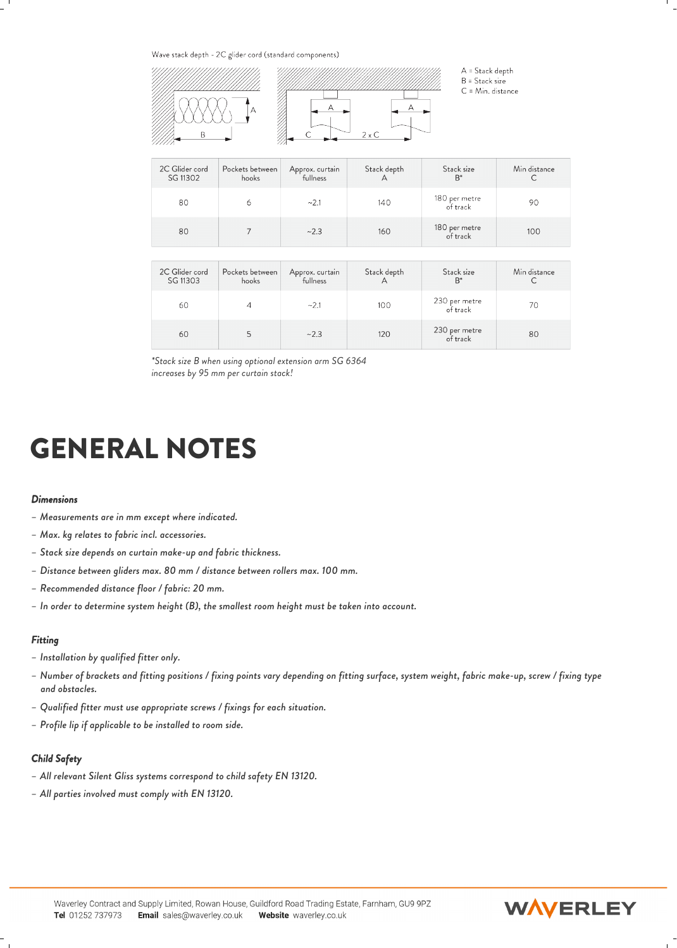Wave stack depth - 2C glider cord (standard components)



A = Stack depth  $B =$  Stack size

C = Min. distance

| 2C Glider cord<br>SG 11302 | Pockets between<br>hooks | Approx. curtain<br>fullness | Stack depth | Stack size<br>$B^*$       | Min distance |
|----------------------------|--------------------------|-----------------------------|-------------|---------------------------|--------------|
| 80                         | 6                        | ~2.1                        | 140         | 180 per metre<br>of track | 90           |
| 80                         |                          | ~2.3                        | 160         | 180 per metre<br>of track | 100          |

| 2C Glider cord<br>SG 11303 | Pockets between<br>hooks | Approx. curtain<br>fullness | Stack depth | Stack size<br>$B^*$       | Min distance |
|----------------------------|--------------------------|-----------------------------|-------------|---------------------------|--------------|
| 60                         |                          | ~2.1                        | 100         | 230 per metre<br>of track | 70           |
| 60                         |                          | ~2.3                        | 120         | 230 per metre<br>of track | 80           |

*\*Stack size B when using optional extension arm SG 6364 increases by 95 mm per curtain stack!*

## GENERAL NOTES

#### *Dimensions*

- *– Measurements are in mm except where indicated.*
- *– Max. kg relates to fabric incl. accessories.*
- *– Stack size depends on curtain make-up and fabric thickness.*
- *– Distance between gliders max. 80 mm / distance between rollers max. 100 mm.*
- *– Recommended distance floor / fabric: 20 mm.*
- *– In order to determine system height (B), the smallest room height must be taken into account.*

#### *Fitting*

- *– Installation by qualified fitter only.*
- *– Number of brackets and fitting positions / fixing points vary depending on fitting surface, system weight, fabric make-up, screw / fixing type and obstacles. – Must. Rg relates to Jubric Incit, accessories.*<br>- Stack size depends on curtain make-up and fabric thickness.<br>- Distance between gliders max. 80 mm / distance between rollers max. 100 mm.<br>- Recommended distance floor /
- *– Qualified fitter must use appropriate screws / fixings for each situation.*
- *– Profile lip if applicable to be installed to room side.*

#### *Child Safety*

- 
- 

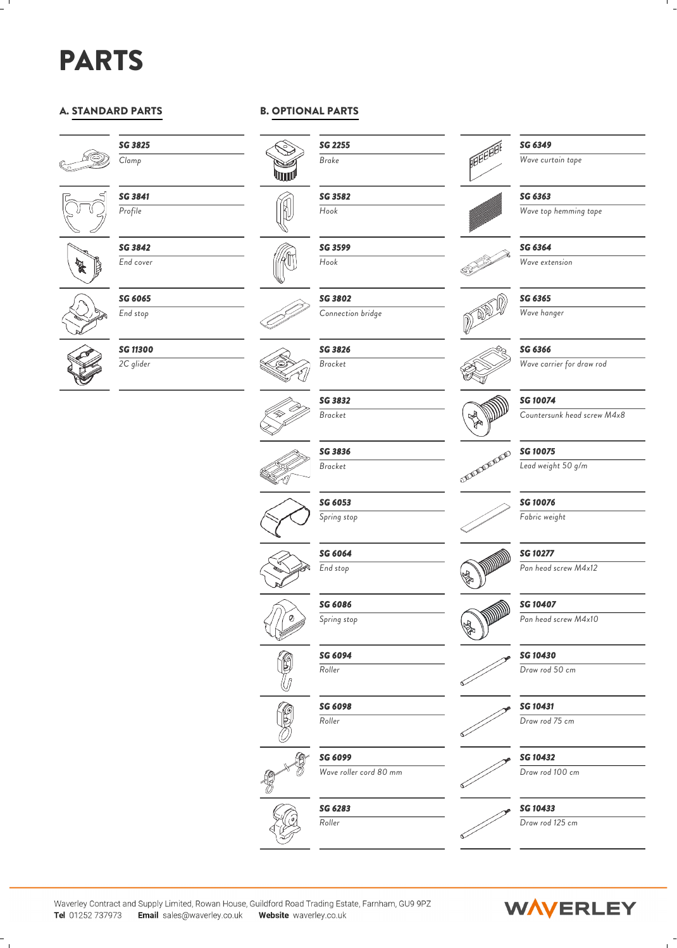# PARTS

#### A. STANDARD PARTS



*Clamp*



*SG 3841 Profile*



*SG 3842 End cover*

*SG 6065 End stop*



*SG 11300 2C glider*



*Brake*

*SG 3582 Hook*

*SG 3599 Hook*

*SG 3802*

*SG 3826 Bracket*

*SG 3832 Bracket*

*Bracket*

*SG 6053 Spring stop*

*SG 6064 End stop*

*Connection bridge*





























*Wave roller cord 80 mm*





*Roller*



*SG 6349*

*Wave curtain tape*

#### *SG 6363*

*Wave top hemming tape*



#### *SG 6364*

*Wave extension*

## *SG 6365*

*Wave hanger*



#### *SG 6366*

*Wave carrier for draw rod*



#### *SG 10074*

*Countersunk head screw M4x8*

#### *SG 10075*

*Lead weight 50 g/m*



#### *SG 10076*

*Fabric weight*

## *SG 10277*

*Pan head screw M4x12*

#### *SG 10407*

*Pan head screw M4x10*

#### *SG 10430*

## *SG 10431*

*Draw rod 75 cm*

*Draw rod 100 cm*



#### *SG 10433*

*Draw rod 125 cm*



Waverley Contract and Supply Limited, Rowan House, Guildford Road Trading Estate, Farnham, GU9 9PZ Tel 01252 737973 Email sales@waverley.co.uk Website waverley.co.uk



**SG 3836**<br>Bracket<br>Bracket

*SG 6086 Spring stop*



*Roller*

*SG 6098*

*Roller*

*SG 6099*

*SG 10432*

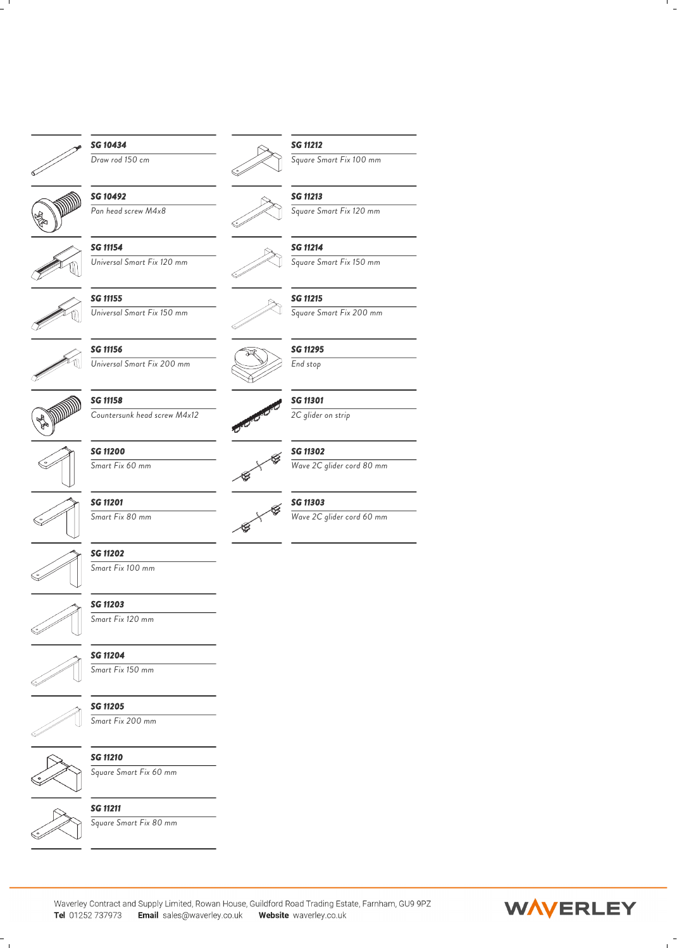

### *SG 10434*



*SG 10492 Pan head screw M4x8*

*SG 11154 Universal Smart Fix 120 mm*

*SG 11155 Universal Smart Fix 150 mm*

*SG 11156 Universal Smart Fix 200 mm*

*SG 11158 Countersunk head screw M4x12*

*SG 11200 Smart Fix 60 mm Wave 2C glider cord 80 mm*

*SG 11201 Smart Fix 80 mm*

*SG 11202 Smart Fix 100 mm*

> *SG 11203 Smart Fix 120 mm*

*SG 11204 Smart Fix 150 mm*



*SG 11205*

*Smart Fix 200 mm*

#### *SG 11210 Square Smart Fix 60 mm*

*SG 11211*

*Square Smart Fix 80 mm*

$$
\overline{\text{SG 11212}}
$$

*Draw rod 150 cm Square Smart Fix 100 mm*

*Square Smart Fix 120 mm*

*SG 11214 Square Smart Fix 150 mm*

*SG 11213*

*SG 11215 Square Smart Fix 200 mm*

*SG 11295 End stop*



*SG 11301 2C glider on strip*

*SG 11302*



```
SG 11303
Wave 2C glider cord 60 mm
```
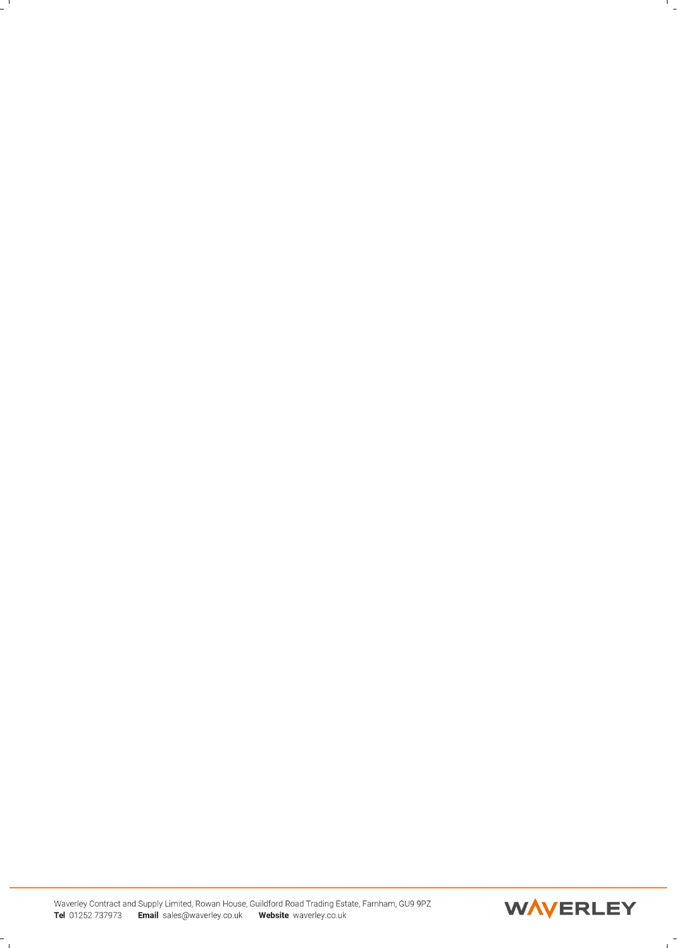